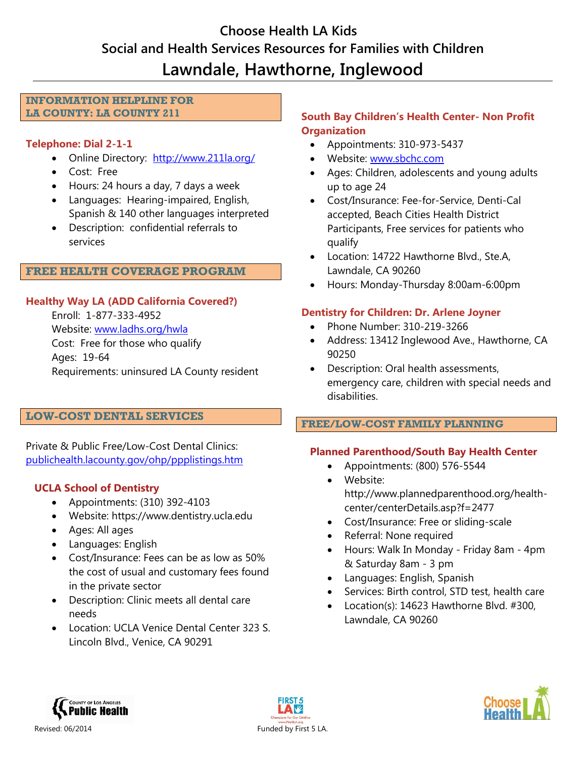# **Choose Health LA Kids Social and Health Services Resources for Families with Children Lawndale, Hawthorne, Inglewood**

#### **INFORMATION HELPLINE FOR LA COUNTY: LA COUNTY 211**

### **Telephone: Dial 2-1-1**

- Online Directory: <http://www.211la.org/>
- Cost: Free
- Hours: 24 hours a day, 7 days a week
- Languages: Hearing-impaired, English, Spanish & 140 other languages interpreted
- Description: confidential referrals to services

### **FREE HEALTH COVERAGE PROGRAM**

### **Healthy Way LA (ADD California Covered?)**

Enroll: 1-877-333-4952 Website: [www.ladhs.org/hwla](http://www.ladhs.org/wps/portal/HWLA) Cost: Free for those who qualify Ages: 19-64 Requirements: uninsured LA County resident

### **LOW-COST DENTAL SERVICES**

Private & Public Free/Low-Cost Dental Clinics: [publichealth.lacounty.gov/ohp/ppplistings.htm](http://publichealth.lacounty.gov/ohp/ppplistings.htm)

## **UCLA School of Dentistry**

- Appointments: (310) 392-4103
- Website: [https://www.dentistry.ucla.edu](https://www.dentistry.ucla.edu/)
- Ages: All ages
- Languages: English
- Cost/Insurance: Fees can be as low as 50% the cost of usual and customary fees found in the private sector
- Description: Clinic meets all dental care needs
- Location: UCLA Venice Dental Center 323 S. Lincoln Blvd., Venice, CA 90291

## **South Bay Children's Health Center- Non Profit Organization**

- Appointments: 310-973-5437
- Website: [www.sbchc.com](http://www.sbchc.com/)
- Ages: Children, adolescents and young adults up to age 24
- Cost/Insurance: Fee-for-Service, Denti-Cal accepted, Beach Cities Health District Participants, Free services for patients who qualify
- Location: 14722 Hawthorne Blvd., Ste.A, Lawndale, CA 90260
- Hours: Monday-Thursday 8:00am-6:00pm

## **Dentistry for Children: Dr. Arlene Joyner**

- Phone Number: 310-219-3266
- Address: 13412 Inglewood Ave., Hawthorne, CA 90250
- Description: Oral health assessments, emergency care, children with special needs and disabilities.

### **FREE/LOW-COST FAMILY PLANNING**

## **Planned Parenthood/South Bay Health Center**

- Appointments: (800) 576-5544
- Website: [http://www.plannedparenthood.org/health](http://www.plannedparenthood.org/health-center/centerDetails.asp?f=2477)[center/centerDetails.asp?f=2477](http://www.plannedparenthood.org/health-center/centerDetails.asp?f=2477)
- Cost/Insurance: Free or sliding-scale
- Referral: None required
- Hours: Walk In Monday Friday 8am 4pm & Saturday 8am - 3 pm
- Languages: English, Spanish
- Services: Birth control, STD test, health care
- Location(s): 14623 Hawthorne Blvd. #300, Lawndale, CA 90260



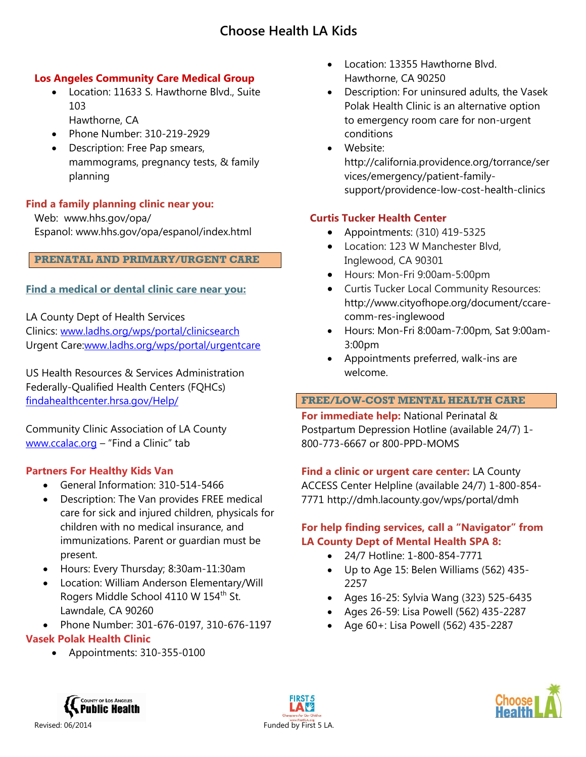### **Los Angeles Community Care Medical Group**

- Location: 11633 S. Hawthorne Blvd., Suite 103 Hawthorne, CA
- Phone Number: 310-219-2929
- Description: Free Pap smears, mammograms, pregnancy tests, & family planning

### **Find a family planning clinic near you:**

Web: [www.hhs.gov/opa/](http://www.hhs.gov/opa/)  Espanol: [www.hhs.gov/opa/espanol/index.html](http://www.hhs.gov/opa/espanol/index.html)

#### **PRENATAL AND PRIMARY/URGENT CARE**

### **Find a medical or dental clinic care near you:**

LA County Dept of Health Services Clinics: [www.ladhs.org/wps/portal/clinicsearch](http://www.ladhs.org/wps/portal/clinicsearch) Urgent Care[:www.ladhs.org/wps/portal/urgentcare](http://www.ladhs.org/wps/portal/urgentcare)

US Health Resources & Services Administration Federally-Qualified Health Centers (FQHCs) [findahealthcenter.hrsa.gov/Help/](http://findahealthcenter.hrsa.gov/Help/)

Community Clinic Association of LA County [www.ccalac.org](http://www.ccalac.org/) – "Find a Clinic" tab

### **Partners For Healthy Kids Van**

- General Information: 310-514-5466
- Description: The Van provides FREE medical care for sick and injured children, physicals for children with no medical insurance, and immunizations. Parent or guardian must be present.
- Hours: Every Thursday; 8:30am-11:30am
- Location: William Anderson Elementary/Will Rogers Middle School 4110 W 154<sup>th</sup> St. Lawndale, CA 90260
- Phone Number: 301-676-0197, 310-676-1197

### **Vasek Polak Health Clinic**

Appointments: 310-355-0100

- Location: 13355 Hawthorne Blvd. Hawthorne, CA 90250
- Description: For uninsured adults, the Vasek Polak Health Clinic is an alternative option to emergency room care for non-urgent conditions
- Website: http://california.providence.org/torrance/ser vices/emergency/patient-familysupport/providence-low-cost-health-clinics

### **Curtis Tucker Health Center**

- Appointments:  $(310)$  419-5325
- Location: 123 W Manchester Blvd, Inglewood, CA 90301
- Hours: Mon-Fri 9:00am-5:00pm
- Curtis Tucker Local Community Resources: http://www.cityofhope.org/document/ccarecomm-res-inglewood
- Hours: Mon-Fri 8:00am-7:00pm, Sat 9:00am-3:00pm
- Appointments preferred, walk-ins are welcome.

### **FREE/LOW-COST MENTAL HEALTH CARE**

**For immediate help:** National Perinatal & Postpartum Depression Hotline (available 24/7) 1- 800-773-6667 or 800-PPD-MOMS

**Find a clinic or urgent care center:** [LA County](http://dmh.lacounty.gov/wps/portal/dmh)  [ACCESS](http://dmh.lacounty.gov/wps/portal/dmh) Center Helpline (available 24/7) 1-800-854- 7771<http://dmh.lacounty.gov/wps/portal/dmh>

### **For help finding services, call a "Navigator" from LA County Dept of Mental Health SPA 8:**

- 24/7 Hotline: 1-800-854-7771
- Up to Age 15: Belen Williams (562) 435- 2257
- Ages 16-25: Sylvia Wang (323) 525-6435
- Ages 26-59: Lisa Powell (562) 435-2287
- Age 60+: Lisa Powell (562) 435-2287





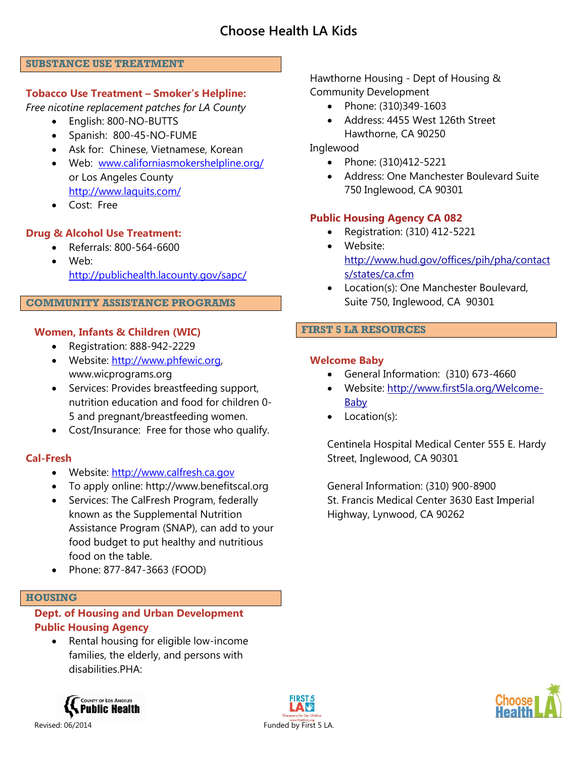#### **SUBSTANCE USE TREATMENT**

### **Tobacco Use Treatment – Smoker's Helpline:**

*Free nicotine replacement patches for LA County*

- English: 800-NO-BUTTS
- Spanish: 800-45-NO-FUME
- Ask for: Chinese, Vietnamese, Korean
- Web: [www.californiasmokershelpline.org/](http://www.californiasmokershelpline.org/) or Los Angeles County <http://www.laquits.com/>
- Cost: Free

### **Drug & Alcohol Use Treatment:**

- Referrals: 800-564-6600
- Web: <http://publichealth.lacounty.gov/sapc/>

#### **COMMUNITY ASSISTANCE PROGRAMS**

### **Women, Infants & Children (WIC)**

- Registration: 888-942-2229
- Website: [http://www.phfewic.org,](http://www.phfewic.org/) www.wicprograms.org
- Services: Provides breastfeeding support, nutrition education and food for children 0- 5 and pregnant/breastfeeding women.
- Cost/Insurance: Free for those who qualify.

### **Cal-Fresh**

- Website: [http://www.calfresh.ca.gov](http://www.calfresh.ca.gov/)
- To apply online: http://www.benefitscal.org
- Services: The CalFresh Program, federally known as the Supplemental Nutrition Assistance Program (SNAP), can add to your food budget to put healthy and nutritious food on the table.
- Phone: 877-847-3663 (FOOD)

#### **HOUSING**

## **Dept. of Housing and Urban Development Public Housing Agency**

• Rental housing for eligible low-income families, the elderly, and persons with disabilities.PHA:





Hawthorne Housing - Dept of Housing & Community Development

- Phone: (310)349-1603
- Address: 4455 West 126th Street Hawthorne, CA 90250

### Inglewood

- Phone: (310)412-5221
- Address: One Manchester Boulevard Suite 750 Inglewood, CA 90301

### **Public Housing Agency CA 082**

- Registration: (310) 412-5221
	- Website: [http://www.hud.gov/offices/pih/pha/contact](http://www.hud.gov/offices/pih/pha/contacts/states/ca.cfm) [s/states/ca.cfm](http://www.hud.gov/offices/pih/pha/contacts/states/ca.cfm)
- Location(s): One Manchester Boulevard, Suite 750, Inglewood, CA 90301

### **FIRST 5 LA RESOURCES**

### **Welcome Baby**

- General Information: (310) 673-4660
- Website: [http://www.first5la.org/Welcome-](http://www.first5la.org/Welcome-Baby)[Baby](http://www.first5la.org/Welcome-Baby)
- Location(s):

Centinela Hospital Medical Center 555 E. Hardy Street, Inglewood, CA 90301

General Information: (310) 900-8900 St. Francis Medical Center 3630 East Imperial Highway, Lynwood, CA 90262

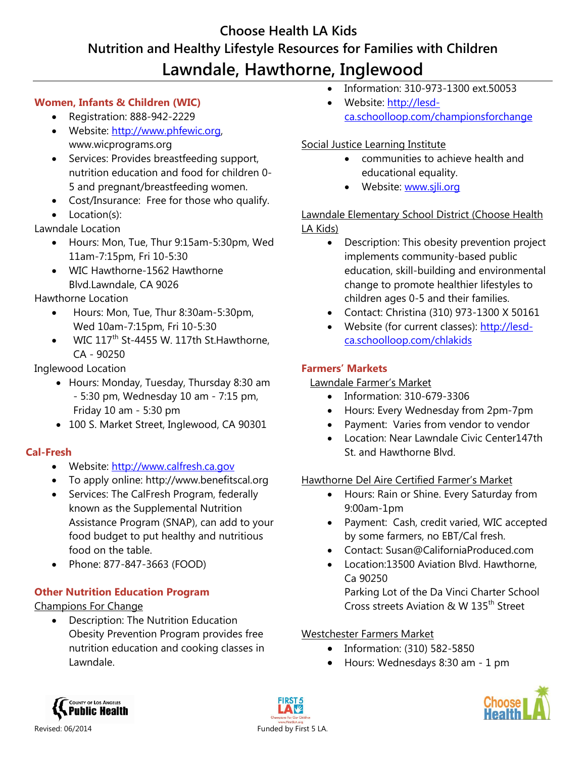# **Choose Health LA Kids Nutrition and Healthy Lifestyle Resources for Families with Children Lawndale, Hawthorne, Inglewood**

## **Women, Infants & Children (WIC)**

- Registration: 888-942-2229
- Website: [http://www.phfewic.org,](http://www.phfewic.org/) www.wicprograms.org
- Services: Provides breastfeeding support, nutrition education and food for children 0- 5 and pregnant/breastfeeding women.
- Cost/Insurance: Free for those who qualify.
- Location(s):

Lawndale Location

- Hours: Mon, Tue, Thur 9:15am-5:30pm, Wed 11am-7:15pm, Fri 10-5:30
- WIC Hawthorne-1562 Hawthorne Blvd.Lawndale, CA 9026

Hawthorne Location

- Hours: Mon, Tue, Thur 8:30am-5:30pm, Wed 10am-7:15pm, Fri 10-5:30
- WIC 117<sup>th</sup> St-4455 W. 117th St. Hawthorne, CA - 90250

Inglewood Location

- Hours: Monday, Tuesday, Thursday 8:30 am - 5:30 pm, Wednesday 10 am - 7:15 pm, Friday 10 am - 5:30 pm
- 100 S. Market Street, Inglewood, CA 90301

# **Cal-Fresh**

- Website: [http://www.calfresh.ca.gov](http://www.calfresh.ca.gov/)
- To apply online: http://www.benefitscal.org
- Services: The CalFresh Program, federally known as the Supplemental Nutrition Assistance Program (SNAP), can add to your food budget to put healthy and nutritious food on the table.
- Phone: 877-847-3663 (FOOD)

# **Other Nutrition Education Program**

# Champions For Change

 Description: The Nutrition Education Obesity Prevention Program provides free nutrition education and cooking classes in Lawndale.

- Information: 310-973-1300 ext.50053
- Website: [http://lesd](http://lesd-ca.schoolloop.com/championsforchange)[ca.schoolloop.com/championsforchange](http://lesd-ca.schoolloop.com/championsforchange)

# Social Justice Learning Institute

- communities to achieve health and educational equality.
- Website: [www.sjli.org](http://www.sjli.org/)

# Lawndale Elementary School District (Choose Health LA Kids)

- Description: This obesity prevention project implements community-based public education, skill-building and environmental change to promote healthier lifestyles to children ages 0-5 and their families.
- Contact: Christina (310) 973-1300 X 50161
- Website (for current classes): [http://lesd](http://lesd-ca.schoolloop.com/chlakids)[ca.schoolloop.com/chlakids](http://lesd-ca.schoolloop.com/chlakids)

## **Farmers' Markets**

## Lawndale Farmer's Market

- Information: 310-679-3306
- Hours: Every Wednesday from 2pm-7pm
- Payment: Varies from vendor to vendor
- Location: Near Lawndale Civic Center
147th St. and Hawthorne Blvd.

## Hawthorne Del Aire Certified Farmer's Market

- Hours: Rain or Shine. Every Saturday from 9:00am-1pm
- Payment: Cash, credit varied, WIC accepted by some farmers, no EBT/Cal fresh.
- Contact: [Susan@CaliforniaProduced.com](mailto:Susan@CaliforniaProduced.com)
- Location:13500 Aviation Blvd. Hawthorne, Ca 90250

Parking Lot of the Da Vinci Charter School Cross streets Aviation & W 135th Street

## Westchester Farmers Market

- Information: (310) 582-5850
- Hours: Wednesdays 8:30 am 1 pm



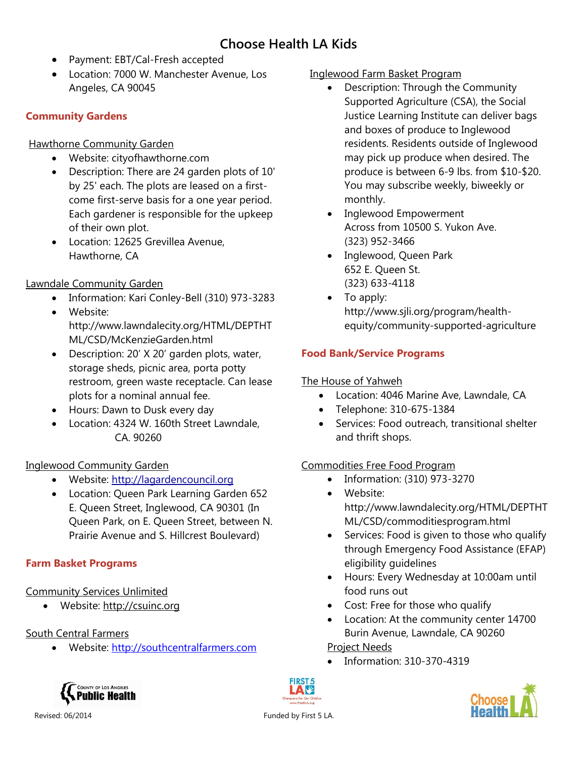- Payment: EBT/Cal-Fresh accepted
- Location: 7000 W. Manchester Avenue, Los Angeles, CA 90045

## **Community Gardens**

Hawthorne Community Garden

- Website: cityofhawthorne.com
- Description: There are 24 garden plots of 10' by 25' each. The plots are leased on a firstcome first-serve basis for a one year period. Each gardener is responsible for the upkeep of their own plot.
- Location: 12625 Grevillea Avenue, Hawthorne, CA

# Lawndale Community Garden

- Information: Kari Conley-Bell (310) 973-3283
- Website: http://www.lawndalecity.org/HTML/DEPTHT ML/CSD/McKenzieGarden.html
- Description: 20' X 20' garden plots, water, storage sheds, picnic area, porta potty restroom, green waste receptacle. Can lease plots for a nominal annual fee.
- Hours: Dawn to Dusk every day
- Location: 4324 W. 160th Street Lawndale, CA. 90260

# Inglewood Community Garden

- Website: [http://lagardencouncil.org](http://lagardencouncil.org/)
- Location: Queen Park Learning Garden 652 E. Queen Street, Inglewood, CA 90301 (In Queen Park, on E. Queen Street, between N. Prairie Avenue and S. Hillcrest Boulevard)

# **Farm Basket Programs**

# Community Services Unlimited

Website: [http://csuinc.org](http://csuinc.org/)

# South Central Farmers

Website: [http://southcentralfarmers.com](http://southcentralfarmers.com/)

## Inglewood Farm Basket Program

- Description: Through the Community Supported Agriculture (CSA), the Social Justice Learning Institute can deliver bags and boxes of produce to Inglewood residents. Residents outside of Inglewood may pick up produce when desired. The produce is between 6-9 lbs. from \$10-\$20. You may subscribe weekly, biweekly or monthly.
- Inglewood Empowerment Across from 10500 S. Yukon Ave. (323) 952-3466
- Inglewood, Queen Park 652 E. Queen St. (323) 633-4118
- To apply: http://www.sjli.org/program/healthequity/community-supported-agriculture

# **Food Bank/Service Programs**

# The House of Yahweh

- Location: 4046 Marine Ave, Lawndale, CA
- Telephone: 310-675-1384
- Services: Food outreach, transitional shelter and thrift shops.

# Commodities Free Food Program

- Information: (310) 973-3270
	- Website: http://www.lawndalecity.org/HTML/DEPTHT ML/CSD/commoditiesprogram.html
- Services: Food is given to those who qualify through Emergency Food Assistance (EFAP) eligibility guidelines
- Hours: Every Wednesday at 10:00am until food runs out
- Cost: Free for those who qualify
- Location: At the community center 14700 Burin Avenue, Lawndale, CA 90260

## Project Needs

• Information: 310-370-4319





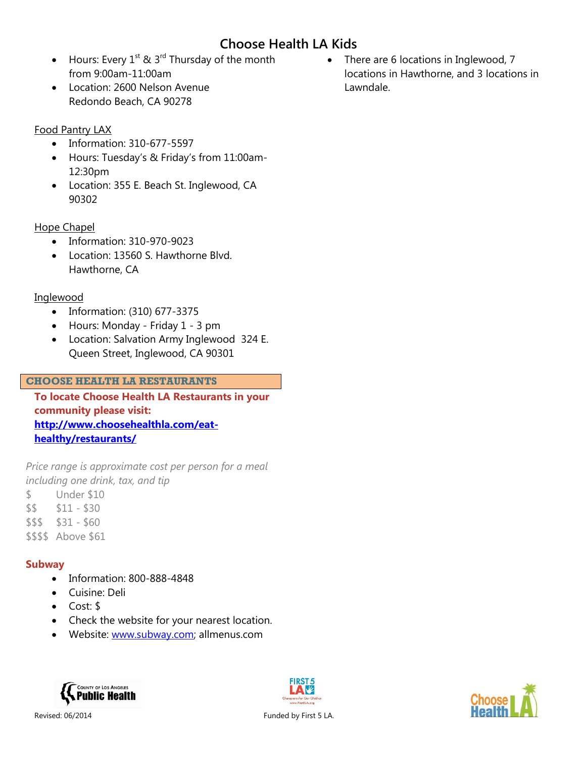- Hours: Every  $1^{st}$  &  $3^{rd}$  Thursday of the month from 9:00am-11:00am
- Location: 2600 Nelson Avenue Redondo Beach, CA 90278

## Food Pantry LAX

- Information: 310-677-5597
- Hours: Tuesday's & Friday's from 11:00am-12:30pm
- Location: 355 E. Beach St. Inglewood, CA 90302

## Hope Chapel

- Information: 310-970-9023
- Location: 13560 S. Hawthorne Blvd. Hawthorne, CA

## Inglewood

- Information: (310) 677-3375
- Hours: Monday Friday 1 3 pm
- Location: Salvation Army Inglewood 324 E. Queen Street, Inglewood, CA 90301

### **CHOOSE HEALTH LA RESTAURANTS**

**To locate Choose Health LA Restaurants in your community please visit: [http://www.choosehealthla.com/eat](http://www.choosehealthla.com/eat-healthy/restaurants/)[healthy/restaurants/](http://www.choosehealthla.com/eat-healthy/restaurants/)**

*Price range is approximate cost per person for a meal including one drink, tax, and tip*

- \$ Under \$10
- \$\$ \$11 \$30
- $$55$   $$31 $60$
- \$\$\$\$ Above \$61

# **Subway**

- Information: 800-888-4848
- Cuisine: Deli
- Cost: \$
- Check the website for your nearest location.
- Website: [www.subway.com;](http://www.subway.com/) allmenus.com





• There are 6 locations in Inglewood, 7 locations in Hawthorne, and 3 locations in Lawndale.

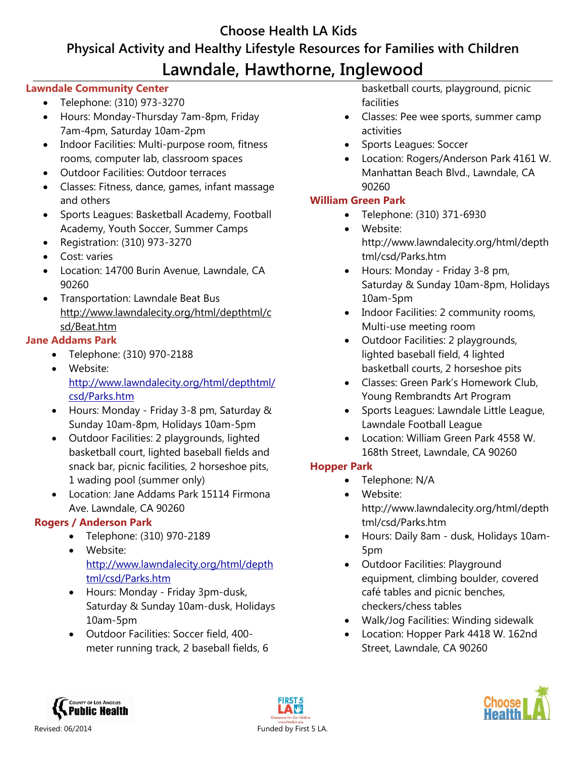# **Choose Health LA Kids Physical Activity and Healthy Lifestyle Resources for Families with Children Lawndale, Hawthorne, Inglewood**

### **Lawndale Community Center**

- Telephone: (310) 973-3270
- Hours: Monday-Thursday 7am-8pm, Friday 7am-4pm, Saturday 10am-2pm
- Indoor Facilities: Multi-purpose room, fitness rooms, computer lab, classroom spaces
- Outdoor Facilities: Outdoor terraces
- Classes: Fitness, dance, games, infant massage and others
- Sports Leagues: Basketball Academy, Football Academy, Youth Soccer, Summer Camps
- Registration: (310) 973-3270
- Cost: varies
- Location: 14700 Burin Avenue, Lawndale, CA 90260
- Transportation: Lawndale Beat Bus [http://www.lawndalecity.org/html/depthtml/c](http://www.lawndalecity.org/html/depthtml/csd/Beat.htm) [sd/Beat.htm](http://www.lawndalecity.org/html/depthtml/csd/Beat.htm)

## **Jane Addams Park**

- Telephone: (310) 970-2188
- Website: [http://www.lawndalecity.org/html/depthtml/](http://www.lawndalecity.org/html/depthtml/csd/Parks.htm) [csd/Parks.htm](http://www.lawndalecity.org/html/depthtml/csd/Parks.htm)
- Hours: Monday Friday 3-8 pm, Saturday & Sunday 10am-8pm, Holidays 10am-5pm
- Outdoor Facilities: 2 playgrounds, lighted basketball court, lighted baseball fields and snack bar, picnic facilities, 2 horseshoe pits, 1 wading pool (summer only)
- Location: Jane Addams Park 15114 Firmona Ave. Lawndale, CA 90260

## **Rogers / Anderson Park**

- Telephone: (310) 970-2189
- Website: [http://www.lawndalecity.org/html/depth](http://www.lawndalecity.org/html/depthtml/csd/Parks.htm) [tml/csd/Parks.htm](http://www.lawndalecity.org/html/depthtml/csd/Parks.htm)
- Hours: Monday Friday 3pm-dusk, Saturday & Sunday 10am-dusk, Holidays 10am-5pm
- Outdoor Facilities: Soccer field, 400 meter running track, 2 baseball fields, 6

basketball courts, playground, picnic facilities

- Classes: Pee wee sports, summer camp activities
- Sports Leagues: Soccer
- Location: Rogers/Anderson Park 4161 W. Manhattan Beach Blvd., Lawndale, CA 90260

## **William Green Park**

- Telephone: (310) 371-6930
- Website: [http://www.lawndalecity.org/html/depth](http://www.lawndalecity.org/html/depthtml/csd/Parks.htm) [tml/csd/Parks.htm](http://www.lawndalecity.org/html/depthtml/csd/Parks.htm)
- Hours: Monday Friday 3-8 pm, Saturday & Sunday 10am-8pm, Holidays 10am-5pm
- Indoor Facilities: 2 community rooms, Multi-use meeting room
- Outdoor Facilities: 2 playgrounds, lighted baseball field, 4 lighted basketball courts, 2 horseshoe pits
- Classes: Green Park's Homework Club, Young Rembrandts Art Program
- Sports Leagues: Lawndale Little League, Lawndale Football League
- Location: William Green Park 4558 W. 168th Street, Lawndale, CA 90260

## **Hopper Park**

- Telephone: N/A
	- Website: [http://www.lawndalecity.org/html/depth](http://www.lawndalecity.org/html/depthtml/csd/Parks.htm) [tml/csd/Parks.htm](http://www.lawndalecity.org/html/depthtml/csd/Parks.htm)
- Hours: Daily 8am dusk, Holidays 10am-5pm
- Outdoor Facilities: Playground equipment, climbing boulder, covered café tables and picnic benches, checkers/chess tables
- Walk/Jog Facilities: Winding sidewalk
- Location: Hopper Park 4418 W. 162nd Street, Lawndale, CA 90260





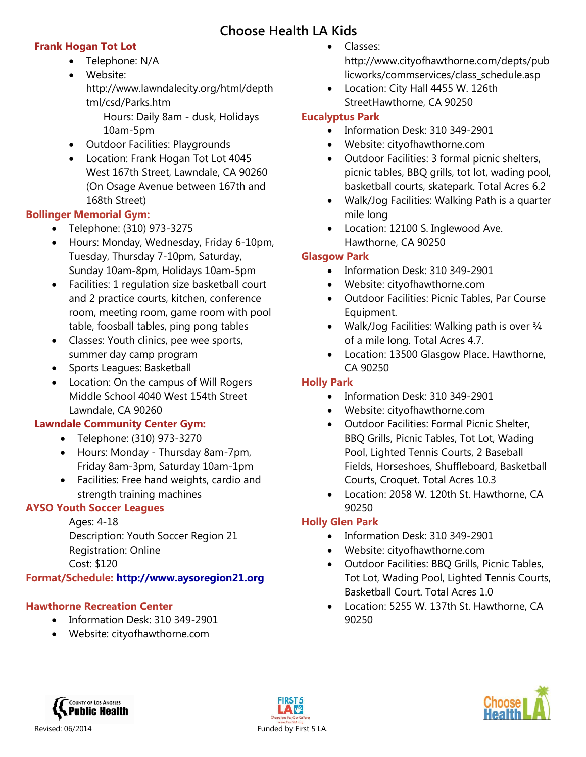## **Frank Hogan Tot Lot**

- Telephone: N/A
- Website:
	- [http://www.lawndalecity.org/html/depth](http://www.lawndalecity.org/html/depthtml/csd/Parks.htm) [tml/csd/Parks.htm](http://www.lawndalecity.org/html/depthtml/csd/Parks.htm)
		- Hours: Daily 8am dusk, Holidays 10am-5pm
- Outdoor Facilities: Playgrounds
- Location: Frank Hogan Tot Lot 4045 West 167th Street, Lawndale, CA 90260 (On Osage Avenue between 167th and 168th Street)

## **Bollinger Memorial Gym:**

- Telephone: (310) 973-3275
- Hours: Monday, Wednesday, Friday 6-10pm, Tuesday, Thursday 7-10pm, Saturday, Sunday 10am-8pm, Holidays 10am-5pm
- Facilities: 1 regulation size basketball court and 2 practice courts, kitchen, conference room, meeting room, game room with pool table, foosball tables, ping pong tables
- Classes: Youth clinics, pee wee sports, summer day camp program
- Sports Leagues: Basketball
- Location: On the campus of Will Rogers Middle School 4040 West 154th Street Lawndale, CA 90260

## **Lawndale Community Center Gym:**

- Telephone: (310) 973-3270
- Hours: Monday Thursday 8am-7pm, Friday 8am-3pm, Saturday 10am-1pm
- Facilities: Free hand weights, cardio and strength training machines

# **AYSO Youth Soccer Leagues**

# Ages: 4-18

Description: Youth Soccer Region 21 Registration: Online Cost: \$120

## **Format/Schedule: [http://www.aysoregion21.org](http://www.aysoregion21.org/)**

# **Hawthorne Recreation Center**

- Information Desk: 310 349-2901
- Website: cityofhawthorne.com
- Classes: http://www.cityofhawthorne.com/depts/pub licworks/commservices/class\_schedule.asp
- Location: City Hall 4455 W. 126th Street
Hawthorne, CA 90250

## **Eucalyptus Park**

- Information Desk: 310 349-2901
- Website: cityofhawthorne.com
- Outdoor Facilities: 3 formal picnic shelters, picnic tables, BBQ grills, tot lot, wading pool, basketball courts, skatepark. Total Acres 6.2
- Walk/Jog Facilities: Walking Path is a quarter mile long
- Location: 12100 S. Inglewood Ave. Hawthorne, CA 90250

## **Glasgow Park**

- Information Desk: 310 349-2901
- Website: cityofhawthorne.com
- Outdoor Facilities: Picnic Tables, Par Course Equipment.
- Walk/Jog Facilities: Walking path is over  $\frac{3}{4}$ of a mile long. Total Acres 4.7.
- Location: 13500 Glasgow Place. Hawthorne, CA 90250

# **Holly Park**

- Information Desk: 310 349-2901
- Website: cityofhawthorne.com
- Outdoor Facilities: Formal Picnic Shelter, BBQ Grills, Picnic Tables, Tot Lot, Wading Pool, Lighted Tennis Courts, 2 Baseball Fields, Horseshoes, Shuffleboard, Basketball Courts, Croquet. Total Acres 10.3
- Location: 2058 W. 120th St. Hawthorne, CA 90250

# **Holly Glen Park**

- Information Desk: 310 349-2901
- Website: cityofhawthorne.com
- Outdoor Facilities: BBQ Grills, Picnic Tables, Tot Lot, Wading Pool, Lighted Tennis Courts, Basketball Court. Total Acres 1.0
- Location: 5255 W. 137th St. Hawthorne, CA 90250



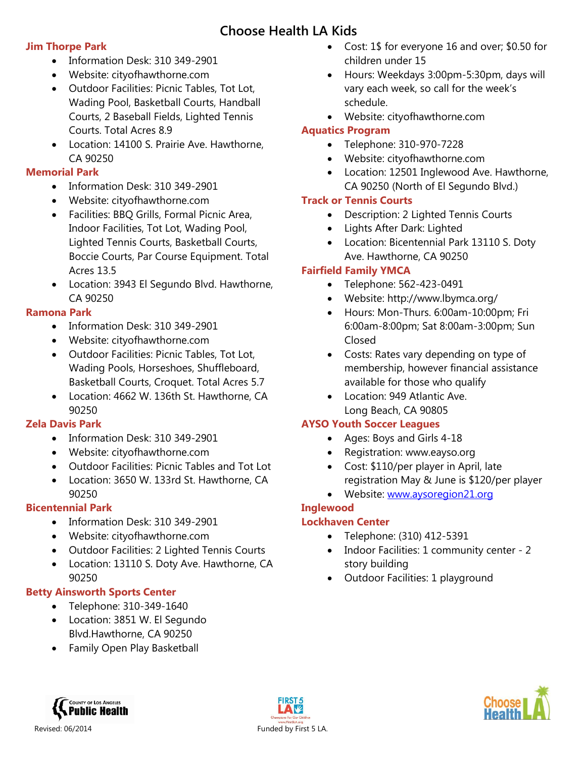### **Jim Thorpe Park**

- Information Desk: 310 349-2901
- Website: cityofhawthorne.com
- Outdoor Facilities: Picnic Tables, Tot Lot, Wading Pool, Basketball Courts, Handball Courts, 2 Baseball Fields, Lighted Tennis Courts. Total Acres 8.9
- Location: 14100 S. Prairie Ave. Hawthorne, CA 90250

## **Memorial Park**

- $\bullet$  Information Desk: 310 349-2901
- Website: cityofhawthorne.com
- Facilities: BBQ Grills, Formal Picnic Area, Indoor Facilities, Tot Lot, Wading Pool, Lighted Tennis Courts, Basketball Courts, Boccie Courts, Par Course Equipment. Total Acres 13.5
- Location: 3943 El Segundo Blvd. Hawthorne, CA 90250

# **Ramona Park**

- Information Desk: 310 349-2901
- Website: cityofhawthorne.com
- Outdoor Facilities: Picnic Tables, Tot Lot, Wading Pools, Horseshoes, Shuffleboard, Basketball Courts, Croquet. Total Acres 5.7
- Location: 4662 W. 136th St. Hawthorne, CA 90250

# **Zela Davis Park**

- Information Desk: 310 349-2901
- Website: cityofhawthorne.com
- Outdoor Facilities: Picnic Tables and Tot Lot
- Location: 3650 W. 133rd St. Hawthorne, CA 90250

# **Bicentennial Park**

- Information Desk: 310 349-2901
- Website: cityofhawthorne.com
- Outdoor Facilities: 2 Lighted Tennis Courts
- Location: 13110 S. Doty Ave. Hawthorne, CA 90250

# **Betty Ainsworth Sports Center**

- Telephone: 310-349-1640
- Location: 3851 W. El Segundo Blvd.
Hawthorne, CA 90250
- Family Open Play Basketball
- Cost: 1\$ for everyone 16 and over; \$0.50 for children under 15
- Hours: Weekdays 3:00pm-5:30pm, days will vary each week, so call for the week's schedule.
- Website: cityofhawthorne.com

## **Aquatics Program**

- Telephone: 310-970-7228
- Website: cityofhawthorne.com
- Location: 12501 Inglewood Ave. Hawthorne, CA 90250 (North of El Segundo Blvd.)

## **Track or Tennis Courts**

- Description: 2 Lighted Tennis Courts
- Lights After Dark: Lighted
- Location: Bicentennial Park 13110 S. Doty Ave. Hawthorne, CA 90250

# **Fairfield Family YMCA**

- Telephone: 562-423-0491
- Website: http://www.lbymca.org/
- Hours: Mon-Thurs. 6:00am-10:00pm; Fri 6:00am-8:00pm; Sat 8:00am-3:00pm; Sun Closed
- Costs: Rates vary depending on type of membership, however financial assistance available for those who qualify
- Location: 949 Atlantic Ave. Long Beach, CA 90805

## **AYSO Youth Soccer Leagues**

- Ages: Boys and Girls 4-18
- Registration: www.eayso.org
- Cost: \$110/per player in April, late registration May & June is \$120/per player
- Website: [www.aysoregion21.org](http://www.aysoregion21.org/)

# **Inglewood**

## **Lockhaven Center**

- Telephone: (310) 412-5391
- Indoor Facilities: 1 community center 2 story building
- Outdoor Facilities: 1 playground



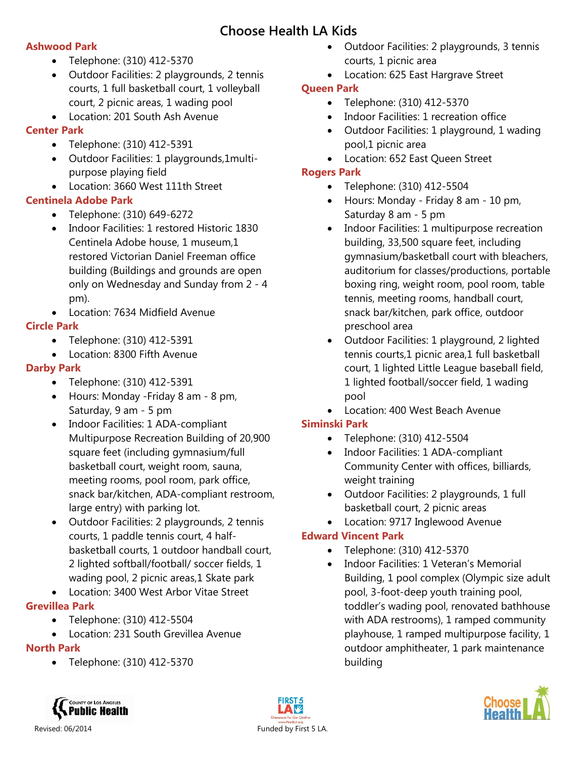### **Ashwood Park**

- Telephone: (310) 412-5370
- Outdoor Facilities: 2 playgrounds, 2 tennis courts, 1 full basketball court, 1 volleyball court, 2 picnic areas, 1 wading pool
- Location: 201 South Ash Avenue

## **Center Park**

- Telephone: (310) 412-5391
- Outdoor Facilities: 1 playgrounds,1multipurpose playing field
- Location: 3660 West 111th Street

## **Centinela Adobe Park**

- Telephone: (310) 649-6272
- Indoor Facilities: 1 restored Historic 1830 Centinela Adobe house, 1 museum,1 restored Victorian Daniel Freeman office building (Buildings and grounds are open only on Wednesday and Sunday from 2 - 4 pm).
- Location: 7634 Midfield Avenue

## **Circle Park**

- Telephone: (310) 412-5391
- Location: 8300 Fifth Avenue

# **Darby Park**

- Telephone: (310) 412-5391
- Hours: Monday -Friday 8 am 8 pm, Saturday, 9 am - 5 pm
- Indoor Facilities: 1 ADA-compliant Multipurpose Recreation Building of 20,900 square feet (including gymnasium/full basketball court, weight room, sauna, meeting rooms, pool room, park office, snack bar/kitchen, ADA-compliant restroom, large entry) with parking lot.
- Outdoor Facilities: 2 playgrounds, 2 tennis courts, 1 paddle tennis court, 4 halfbasketball courts, 1 outdoor handball court, 2 lighted softball/football/ soccer fields, 1 wading pool, 2 picnic areas, 1 Skate park
- Location: 3400 West Arbor Vitae Street

# **Grevillea Park**

- Telephone: (310) 412-5504
- Location: 231 South Grevillea Avenue

# **North Park**

Telephone: (310) 412-5370

- Outdoor Facilities: 2 playgrounds, 3 tennis courts, 1 picnic area
- Location: 625 East Hargrave Street

## **Queen Park**

- Telephone: (310) 412-5370
- Indoor Facilities: 1 recreation office
- Outdoor Facilities: 1 playground, 1 wading pool,1 picnic area
- Location: 652 East Queen Street

## **Rogers Park**

- Telephone: (310) 412-5504
- Hours: Monday Friday 8 am 10 pm, Saturday 8 am - 5 pm
- Indoor Facilities: 1 multipurpose recreation building, 33,500 square feet, including gymnasium/basketball court with bleachers, auditorium for classes/productions, portable boxing ring, weight room, pool room, table tennis, meeting rooms, handball court, snack bar/kitchen, park office, outdoor preschool area
- Outdoor Facilities: 1 playground, 2 lighted tennis courts,1 picnic area,1 full basketball court, 1 lighted Little League baseball field, 1 lighted football/soccer field, 1 wading pool
- Location: 400 West Beach Avenue

# **Siminski Park**

- Telephone: (310) 412-5504
- Indoor Facilities: 1 ADA-compliant Community Center with offices, billiards, weight training
- Outdoor Facilities: 2 playgrounds, 1 full basketball court, 2 picnic areas
- Location: 9717 Inglewood Avenue

# **Edward Vincent Park**

- Telephone: (310) 412-5370
- Indoor Facilities: 1 Veteran's Memorial Building, 1 pool complex (Olympic size adult pool, 3-foot-deep youth training pool, toddler's wading pool, renovated bathhouse with ADA restrooms), 1 ramped community playhouse, 1 ramped multipurpose facility, 1 outdoor amphitheater, 1 park maintenance building





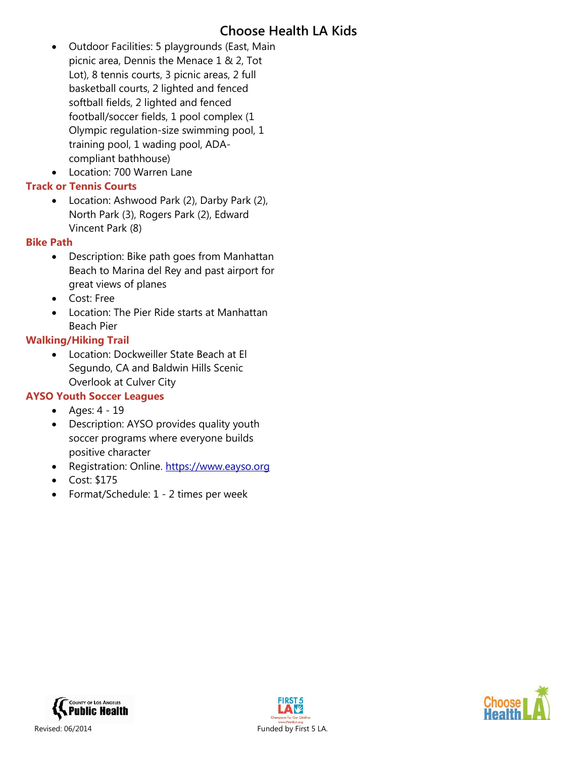Outdoor Facilities: 5 playgrounds (East, Main picnic area, Dennis the Menace 1 & 2, Tot Lot), 8 tennis courts, 3 picnic areas, 2 full basketball courts, 2 lighted and fenced softball fields, 2 lighted and fenced football/soccer fields, 1 pool complex (1 Olympic regulation-size swimming pool, 1 training pool, 1 wading pool, ADAcompliant bathhouse)

Location: 700 Warren Lane

### **Track or Tennis Courts**

• Location: Ashwood Park (2), Darby Park (2), North Park (3), Rogers Park (2), Edward Vincent Park (8)

### **Bike Path**

- Description: Bike path goes from Manhattan Beach to Marina del Rey and past airport for great views of planes
- Cost: Free
- Location: The Pier Ride starts at Manhattan Beach Pier

### **Walking/Hiking Trail**

 Location: Dockweiller State Beach at El Segundo, CA and Baldwin Hills Scenic Overlook at Culver City

### **AYSO Youth Soccer Leagues**

- Ages: 4 19
- Description: AYSO provides quality youth soccer programs where everyone builds positive character
- Registration: Online. [https://www.eayso.org](https://www.eayso.org/)
- Cost: \$175
- Format/Schedule: 1 2 times per week





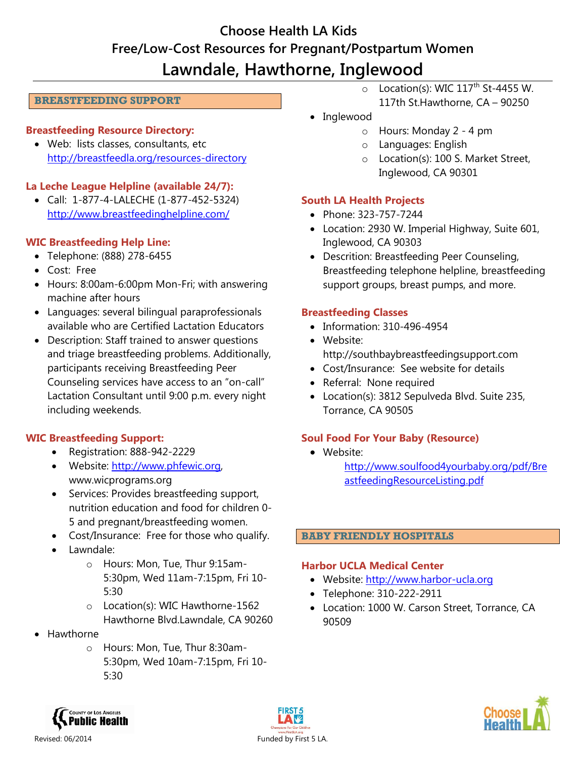# **Choose Health LA Kids Free/Low-Cost Resources for Pregnant/Postpartum Women Lawndale, Hawthorne, Inglewood**

#### **BREASTFEEDING SUPPORT**

#### **Breastfeeding Resource Directory:**

• Web: lists classes, consultants, etc. <http://breastfeedla.org/resources-directory>

### **La Leche League Helpline (available 24/7):**

 Call: 1-877-4-LALECHE (1-877-452-5324) <http://www.breastfeedinghelpline.com/>

### **WIC Breastfeeding Help Line:**

- Telephone: (888) 278-6455
- Cost: Free
- Hours: 8:00am-6:00pm Mon-Fri; with answering machine after hours
- Languages: several bilingual paraprofessionals available who are Certified Lactation Educators
- Description: Staff trained to answer questions and triage breastfeeding problems. Additionally, participants receiving Breastfeeding Peer Counseling services have access to an "on-call" Lactation Consultant until 9:00 p.m. every night including weekends.

### **WIC Breastfeeding Support:**

- Registration: 888-942-2229
- Website: [http://www.phfewic.org,](http://www.phfewic.org/) www.wicprograms.org
- Services: Provides breastfeeding support, nutrition education and food for children 0- 5 and pregnant/breastfeeding women.
- Cost/Insurance: Free for those who qualify.
- Lawndale:
	- o Hours: Mon, Tue, Thur 9:15am-5:30pm, Wed 11am-7:15pm, Fri 10- 5:30
	- o Location(s): WIC Hawthorne-1562 Hawthorne Blvd.Lawndale, CA 90260
- Hawthorne
	- o Hours: Mon, Tue, Thur 8:30am-5:30pm, Wed 10am-7:15pm, Fri 10- 5:30
- $\circ$  Location(s): WIC 117<sup>th</sup> St-4455 W. 117th St.
Hawthorne, CA – 90250
- Inglewood
	- o Hours: Monday 2 4 pm
	- o Languages: English
	- o Location(s): 100 S. Market Street, Inglewood, CA 90301

#### **South LA Health Projects**

- Phone: 323-757-7244
- Location: 2930 W. Imperial Highway, Suite 601, Inglewood, CA 90303
- Descrition: Breastfeeding Peer Counseling, Breastfeeding telephone helpline, breastfeeding support groups, breast pumps, and more.

#### **Breastfeeding Classes**

- Information: 310-496-4954
- Website: http://southbaybreastfeedingsupport.com
- Cost/Insurance: See website for details
- Referral: None required
- Location(s): 3812 Sepulveda Blvd. Suite 235, Torrance, CA 90505

### **Soul Food For Your Baby (Resource)**

- Website:
	- [http://www.soulfood4yourbaby.org/pdf/Bre](http://www.soulfood4yourbaby.org/pdf/BreastfeedingResourceListing.pdf) [astfeedingResourceListing.pdf](http://www.soulfood4yourbaby.org/pdf/BreastfeedingResourceListing.pdf)

#### **BABY FRIENDLY HOSPITALS**

#### **Harbor UCLA Medical Center**

- Website: [http://www.harbor-ucla.org](http://www.harbor-ucla.org/)
- Telephone: 310-222-2911
- Location: 1000 W. Carson Street, Torrance, CA 90509